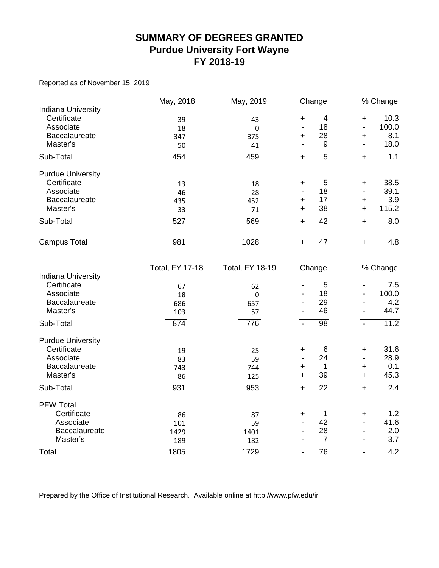#### **SUMMARY OF DEGREES GRANTED Purdue University Fort Wayne FY 2018-19**

Reported as of November 15, 2019

|                           | May, 2018              | May, 2019              |                              | Change          |                              | % Change |
|---------------------------|------------------------|------------------------|------------------------------|-----------------|------------------------------|----------|
| <b>Indiana University</b> |                        |                        |                              |                 |                              |          |
| Certificate               | 39                     | 43                     | $\ddot{}$                    | $\overline{4}$  | $\ddot{}$                    | 10.3     |
| Associate                 | 18                     | 0                      | $\overline{a}$               | 18              | $\frac{1}{2}$                | 100.0    |
| Baccalaureate             | 347                    | 375                    | +                            | 28              | +                            | 8.1      |
| Master's                  | 50                     | 41                     |                              | 9               | $\overline{a}$               | 18.0     |
| Sub-Total                 | 454                    | 459                    | $+$                          | $\overline{5}$  | $\overline{+}$               | 1.1      |
| <b>Purdue University</b>  |                        |                        |                              |                 |                              |          |
| Certificate               | 13                     | 18                     | +                            | 5               | +                            | 38.5     |
| Associate                 | 46                     | 28                     |                              | 18              | $\frac{1}{2}$                | 39.1     |
| Baccalaureate             | 435                    | 452                    | $\ddot{}$                    | 17              | +                            | 3.9      |
| Master's                  | 33                     | 71                     | $\ddot{}$                    | 38              | $\ddot{}$                    | 115.2    |
| Sub-Total                 | $\overline{527}$       | 569                    | $+$                          | 42              | $+$                          | 8.0      |
| <b>Campus Total</b>       | 981                    | 1028                   | $\ddot{}$                    | 47              | $\ddot{}$                    | 4.8      |
|                           | <b>Total, FY 17-18</b> | <b>Total, FY 18-19</b> |                              | Change          |                              | % Change |
| <b>Indiana University</b> |                        |                        |                              |                 |                              |          |
| Certificate               | 67                     | 62                     |                              | 5               | $\overline{\phantom{0}}$     | 7.5      |
| Associate                 | 18                     | $\mathbf 0$            |                              | 18              |                              | 100.0    |
| Baccalaureate             | 686                    | 657                    |                              | 29              |                              | 4.2      |
| Master's                  | 103                    | 57                     |                              | 46              |                              | 44.7     |
| Sub-Total                 | 874                    | 776                    | $\blacksquare$               | 98              | $\blacksquare$               | 11.2     |
| <b>Purdue University</b>  |                        |                        |                              |                 |                              |          |
| Certificate               | 19                     | 25                     | $\ddag$                      | 6               | $\ddot{}$                    | 31.6     |
| Associate                 | 83                     | 59                     |                              | 24              | $\overline{\phantom{a}}$     | 28.9     |
| Baccalaureate             | 743                    | 744                    | +                            | 1               | $\pm$                        | 0.1      |
| Master's                  | 86                     | 125                    | $\ddot{}$                    | 39              | $\ddot{}$                    | 45.3     |
| Sub-Total                 | 931                    | 953                    | $\overline{+}$               | $\overline{22}$ | $\overline{+}$               | 2.4      |
| <b>PFW Total</b>          |                        |                        |                              |                 |                              |          |
| Certificate               | 86                     | 87                     | +                            | 1               | +                            | 1.2      |
| Associate                 | 101                    | 59                     |                              | 42              | $\frac{1}{2}$                | 41.6     |
| Baccalaureate             | 1429                   | 1401                   | $\qquad \qquad \blacksquare$ | 28              | $\qquad \qquad \blacksquare$ | 2.0      |
| Master's                  | 189                    | 182                    |                              | $\overline{7}$  | $\overline{\phantom{a}}$     | 3.7      |
| Total                     | 1805                   | 1729                   | $\overline{\phantom{a}}$     | 76              | $\overline{\phantom{a}}$     | 4.2      |

Prepared by the Office of Institutional Research. Available online at http://www.pfw.edu/ir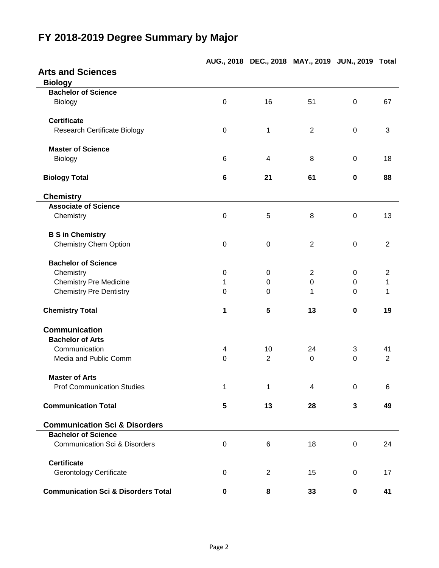## **Arts and Sciences Biology Bachelor of Science** Biology 0 16 51 0 67 **Certificate** Research Certificate Biology **0** 1 2 0 3 **Master of Science** Biology 6 4 8 0 18 **Biology Total 6 21 61 0 88 Chemistry Associate of Science** Chemistry 0 5 8 0 13 **B S in Chemistry** Chemistry Chem Option **0** 0 0 2 0 2 2 0 2 **Bachelor of Science** Chemistry 20 0 0 2 0 2 0 2 Chemistry Pre Medicine 1 0 0 0 1 Chemistry Pre Dentistry **Chemistry Chemistry Pre Dentistry Chemistry Chemistry Pre Dentistry Chemistry Chemistry Chemistry Total 1 5 13 0 19 Communication Bachelor of Arts** Communication 4 10 24 3 41 Media and Public Comm  $\begin{array}{cccc} 0 & 2 & 0 & 0 & 2 \end{array}$ **Master of Arts** Prof Communication Studies 1 1 1 4 0 6 **Communication Total 5 13 28 3 49 Communication Sci & Disorders Bachelor of Science** Communication Sci & Disorders 0 6 18 0 24 **Certificate** Gerontology Certificate  $\begin{array}{cccc} 0 & 2 & 15 & 0 & 17 \end{array}$ **Communication Sci & Disorders Total 0 8 33 0 41**

### **FY 2018-2019 Degree Summary by Major**

**AUG., 2018 DEC., 2018 MAY., 2019 JUN., 2019 Total**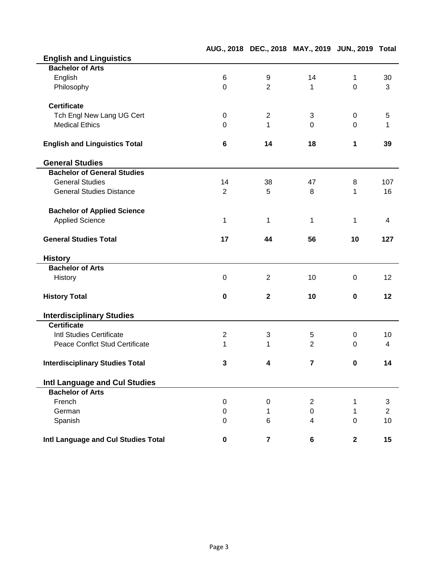|                                        |                |                | AUG., 2018 DEC., 2018 MAY., 2019 JUN., 2019 Total |                  |                |
|----------------------------------------|----------------|----------------|---------------------------------------------------|------------------|----------------|
| <b>English and Linguistics</b>         |                |                |                                                   |                  |                |
| <b>Bachelor of Arts</b>                |                |                |                                                   |                  |                |
| English                                | $\,6$          | 9              | 14                                                | $\mathbf{1}$     | 30             |
| Philosophy                             | $\overline{0}$ | $\overline{2}$ | $\mathbf{1}$                                      | $\mathbf 0$      | 3              |
| <b>Certificate</b>                     |                |                |                                                   |                  |                |
| Tch Engl New Lang UG Cert              | $\mathbf 0$    | $\sqrt{2}$     | 3                                                 | $\boldsymbol{0}$ | 5              |
| <b>Medical Ethics</b>                  | $\Omega$       | 1              | $\Omega$                                          | $\Omega$         | 1              |
| <b>English and Linguistics Total</b>   | $6\phantom{1}$ | 14             | 18                                                | 1                | 39             |
| <b>General Studies</b>                 |                |                |                                                   |                  |                |
| <b>Bachelor of General Studies</b>     |                |                |                                                   |                  |                |
| <b>General Studies</b>                 | 14             | 38             | 47                                                | 8                | 107            |
| <b>General Studies Distance</b>        | $\overline{2}$ | 5              | 8                                                 | 1                | 16             |
| <b>Bachelor of Applied Science</b>     |                |                |                                                   |                  |                |
| <b>Applied Science</b>                 | 1              | 1              | $\mathbf{1}$                                      | $\mathbf{1}$     | 4              |
| <b>General Studies Total</b>           | 17             | 44             | 56                                                | 10               | 127            |
| <b>History</b>                         |                |                |                                                   |                  |                |
| <b>Bachelor of Arts</b>                |                |                |                                                   |                  |                |
| History                                | 0              | $\overline{2}$ | 10                                                | 0                | 12             |
| <b>History Total</b>                   | $\mathbf 0$    | $\mathbf{2}$   | 10                                                | $\mathbf 0$      | 12             |
| <b>Interdisciplinary Studies</b>       |                |                |                                                   |                  |                |
| <b>Certificate</b>                     |                |                |                                                   |                  |                |
| Intl Studies Certificate               | $\mathbf 2$    | 3              | 5                                                 | $\boldsymbol{0}$ | 10             |
| <b>Peace Conflct Stud Certificate</b>  | 1              | 1              | $\overline{2}$                                    | $\mathbf 0$      | 4              |
| <b>Interdisciplinary Studies Total</b> | 3              | 4              | $\mathbf{7}$                                      | $\bf{0}$         | 14             |
| Intl Language and Cul Studies          |                |                |                                                   |                  |                |
| <b>Bachelor of Arts</b>                |                |                |                                                   |                  |                |
| French                                 | 0              | 0              | $\overline{2}$                                    | 1                | 3              |
| German                                 | $\mathbf 0$    | 1              | $\mathbf 0$                                       | 1                | $\overline{2}$ |
| Spanish                                | $\Omega$       | 6              | $\overline{4}$                                    | $\overline{0}$   | 10             |
| Intl Language and Cul Studies Total    | $\mathbf 0$    | $\overline{7}$ | 6                                                 | $\mathbf{2}$     | 15             |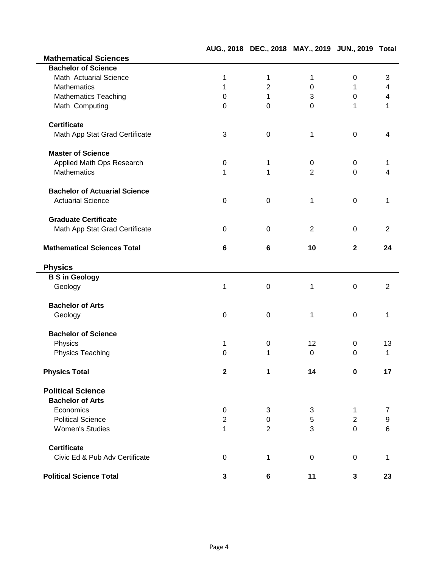|                                      |                  |                | AUG., 2018 DEC., 2018 MAY., 2019 JUN., 2019 Total |                |                |
|--------------------------------------|------------------|----------------|---------------------------------------------------|----------------|----------------|
| <b>Mathematical Sciences</b>         |                  |                |                                                   |                |                |
| <b>Bachelor of Science</b>           |                  |                |                                                   |                |                |
| Math Actuarial Science               | 1                | $\mathbf 1$    | 1                                                 | $\mathbf 0$    | 3              |
| <b>Mathematics</b>                   | 1                | $\overline{2}$ | $\Omega$                                          | 1              | 4              |
| <b>Mathematics Teaching</b>          | 0                | 1              | 3                                                 | 0              | 4              |
| Math Computing                       | $\Omega$         | $\Omega$       | $\mathbf 0$                                       | 1              | 1              |
| <b>Certificate</b>                   |                  |                |                                                   |                |                |
| Math App Stat Grad Certificate       | 3                | 0              | 1                                                 | $\mathbf 0$    | 4              |
| <b>Master of Science</b>             |                  |                |                                                   |                |                |
| Applied Math Ops Research            | 0                | 1              | 0                                                 | 0              | 1              |
| <b>Mathematics</b>                   | 1                | 1              | $\overline{2}$                                    | $\mathbf 0$    | 4              |
| <b>Bachelor of Actuarial Science</b> |                  |                |                                                   |                |                |
| <b>Actuarial Science</b>             | $\mathbf 0$      | 0              | 1                                                 | $\mathbf 0$    | 1              |
| <b>Graduate Certificate</b>          |                  |                |                                                   |                |                |
| Math App Stat Grad Certificate       | 0                | $\Omega$       | 2                                                 | $\Omega$       | $\overline{2}$ |
| <b>Mathematical Sciences Total</b>   | 6                | 6              | 10                                                | $\mathbf{2}$   | 24             |
| <b>Physics</b>                       |                  |                |                                                   |                |                |
| <b>B S in Geology</b>                |                  |                |                                                   |                |                |
| Geology                              | 1                | $\mathbf 0$    | 1                                                 | $\mathbf 0$    | $\overline{2}$ |
| <b>Bachelor of Arts</b>              |                  |                |                                                   |                |                |
| Geology                              | 0                | 0              | 1                                                 | 0              | 1              |
| <b>Bachelor of Science</b>           |                  |                |                                                   |                |                |
| Physics                              | 1                | 0              | 12                                                | 0              | 13             |
| Physics Teaching                     | 0                | 1              | $\mathbf 0$                                       | $\mathbf 0$    | 1              |
| <b>Physics Total</b>                 | $\mathbf{2}$     | 1              | 14                                                | 0              | 17             |
| <b>Political Science</b>             |                  |                |                                                   |                |                |
| <b>Bachelor of Arts</b>              |                  |                |                                                   |                |                |
| Economics                            | $\boldsymbol{0}$ | 3              | 3                                                 | 1              | 7              |
| <b>Political Science</b>             | $\overline{2}$   | $\mathbf 0$    | 5                                                 | $\overline{2}$ | 9              |
| <b>Women's Studies</b>               | 1                | $\overline{2}$ | 3                                                 | $\mathbf 0$    | 6              |
| <b>Certificate</b>                   |                  |                |                                                   |                |                |
| Civic Ed & Pub Adv Certificate       | 0                | 1              | 0                                                 | 0              | 1              |
| <b>Political Science Total</b>       | 3                | 6              | 11                                                | 3              | 23             |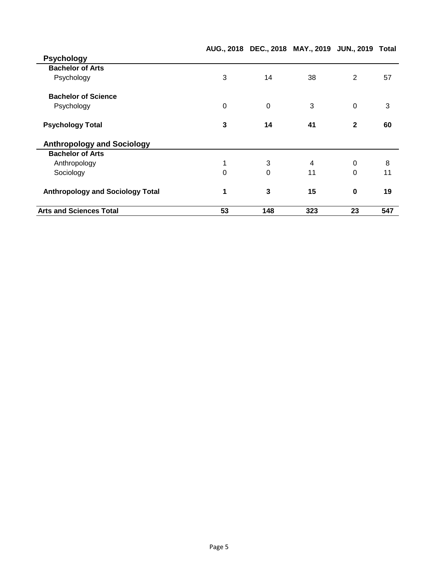|                                         |          |          | AUG., 2018 DEC., 2018 MAY., 2019 JUN., 2019 Total |                |     |
|-----------------------------------------|----------|----------|---------------------------------------------------|----------------|-----|
| <b>Psychology</b>                       |          |          |                                                   |                |     |
| <b>Bachelor of Arts</b>                 |          |          |                                                   |                |     |
| Psychology                              | 3        | 14       | 38                                                | $\overline{2}$ | 57  |
| <b>Bachelor of Science</b>              |          |          |                                                   |                |     |
| Psychology                              | $\Omega$ | 0        | 3                                                 | $\mathbf 0$    | 3   |
| <b>Psychology Total</b>                 | 3        | 14       | 41                                                | $\mathbf{2}$   | 60  |
| <b>Anthropology and Sociology</b>       |          |          |                                                   |                |     |
| <b>Bachelor of Arts</b>                 |          |          |                                                   |                |     |
| Anthropology                            |          | 3        | 4                                                 | $\mathbf 0$    | 8   |
| Sociology                               | $\Omega$ | $\Omega$ | 11                                                | $\Omega$       | 11  |
| <b>Anthropology and Sociology Total</b> |          | 3        | 15                                                | $\bf{0}$       | 19  |
| <b>Arts and Sciences Total</b>          | 53       | 148      | 323                                               | 23             | 547 |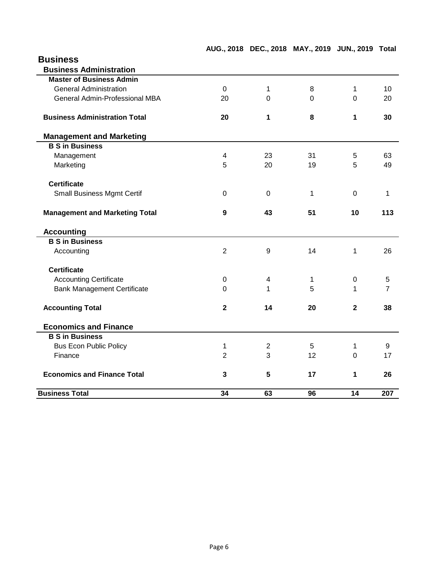| <b>Business</b> |
|-----------------|
|                 |

| <b>Business Total</b>                 | 34             | 63             | 96           | 14             | 207 |
|---------------------------------------|----------------|----------------|--------------|----------------|-----|
| <b>Economics and Finance Total</b>    | 3              | 5              | 17           | 1              | 26  |
| Finance                               | $\overline{2}$ | 3              | 12           | $\Omega$       | 17  |
| <b>Bus Econ Public Policy</b>         | 1              | $\overline{2}$ | 5            | 1              | 9   |
| <b>B S in Business</b>                |                |                |              |                |     |
| <b>Economics and Finance</b>          |                |                |              |                |     |
| <b>Accounting Total</b>               | $\mathbf{2}$   | 14             | 20           | $\overline{2}$ | 38  |
| <b>Bank Management Certificate</b>    | $\Omega$       | 1              | 5            | 1              | 7   |
| <b>Accounting Certificate</b>         | 0              | 4              | 1            | $\mathbf 0$    | 5   |
| <b>Certificate</b>                    |                |                |              |                |     |
| Accounting                            | $\overline{2}$ | 9              | 14           | 1              | 26  |
| <b>B S in Business</b>                |                |                |              |                |     |
| <b>Accounting</b>                     |                |                |              |                |     |
| <b>Management and Marketing Total</b> | 9              | 43             | 51           | 10             | 113 |
| <b>Small Business Mgmt Certif</b>     | 0              | $\Omega$       | $\mathbf{1}$ | $\mathbf 0$    | 1   |
| <b>Certificate</b>                    |                |                |              |                |     |
| Marketing                             | 5              | 20             | 19           | 5              | 49  |
| Management                            | 4              | 23             | 31           | 5              | 63  |
| <b>B S in Business</b>                |                |                |              |                |     |
| <b>Management and Marketing</b>       |                |                |              |                |     |
| <b>Business Administration Total</b>  | 20             | 1              | 8            | 1              | 30  |
| General Admin-Professional MBA        | 20             | 0              | $\Omega$     | $\Omega$       | 20  |
| <b>General Administration</b>         | $\Omega$       | 1              | 8            | 1              | 10  |
| <b>Master of Business Admin</b>       |                |                |              |                |     |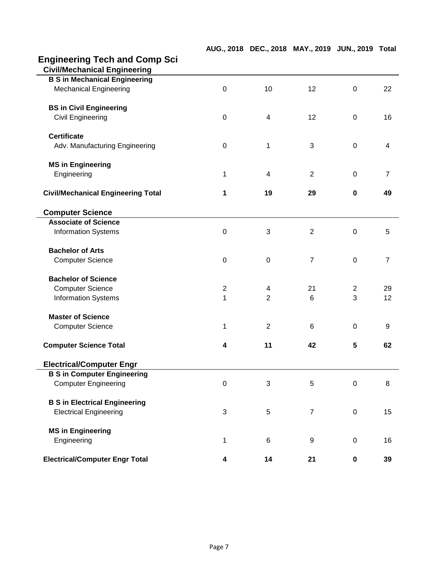# **Engineering Tech and Comp Sci**

| <b>Civil/Mechanical Engineering</b>       |                  |                |                |                |                |
|-------------------------------------------|------------------|----------------|----------------|----------------|----------------|
| <b>B S in Mechanical Engineering</b>      |                  |                |                |                |                |
| <b>Mechanical Engineering</b>             | $\mathbf 0$      | 10             | 12             | $\mathbf 0$    | 22             |
| <b>BS in Civil Engineering</b>            |                  |                |                |                |                |
| Civil Engineering                         | $\pmb{0}$        | 4              | 12             | $\mathbf 0$    | 16             |
| <b>Certificate</b>                        |                  |                |                |                |                |
| Adv. Manufacturing Engineering            | $\mathbf 0$      | 1              | 3              | $\mathbf 0$    | 4              |
| <b>MS in Engineering</b>                  |                  |                |                |                |                |
| Engineering                               | 1                | 4              | $\overline{2}$ | $\mathbf 0$    | $\overline{7}$ |
| <b>Civil/Mechanical Engineering Total</b> | 1                | 19             | 29             | $\mathbf 0$    | 49             |
| <b>Computer Science</b>                   |                  |                |                |                |                |
| <b>Associate of Science</b>               |                  |                |                |                |                |
| <b>Information Systems</b>                | $\boldsymbol{0}$ | 3              | $\overline{2}$ | $\mathbf 0$    | 5              |
| <b>Bachelor of Arts</b>                   |                  |                |                |                |                |
| <b>Computer Science</b>                   | $\pmb{0}$        | $\mathbf 0$    | $\overline{7}$ | $\mathbf 0$    | $\overline{7}$ |
| <b>Bachelor of Science</b>                |                  |                |                |                |                |
| <b>Computer Science</b>                   | $\overline{2}$   | 4              | 21             | $\overline{2}$ | 29             |
| <b>Information Systems</b>                | 1                | $\overline{2}$ | 6              | 3              | 12             |
| <b>Master of Science</b>                  |                  |                |                |                |                |
| <b>Computer Science</b>                   | 1                | $\overline{2}$ | 6              | $\mathbf 0$    | 9              |
| <b>Computer Science Total</b>             | 4                | 11             | 42             | 5              | 62             |
| <b>Electrical/Computer Engr</b>           |                  |                |                |                |                |
| <b>B S in Computer Engineering</b>        |                  |                |                |                |                |
| <b>Computer Engineering</b>               | $\boldsymbol{0}$ | 3              | 5              | $\pmb{0}$      | 8              |
| <b>B S in Electrical Engineering</b>      |                  |                |                |                |                |
| <b>Electrical Engineering</b>             | 3                | 5              | $\overline{7}$ | $\mathbf 0$    | 15             |
| <b>MS in Engineering</b>                  |                  |                |                |                |                |
| Engineering                               | 1                | 6              | 9              | $\pmb{0}$      | 16             |
| <b>Electrical/Computer Engr Total</b>     | 4                | 14             | 21             | $\pmb{0}$      | 39             |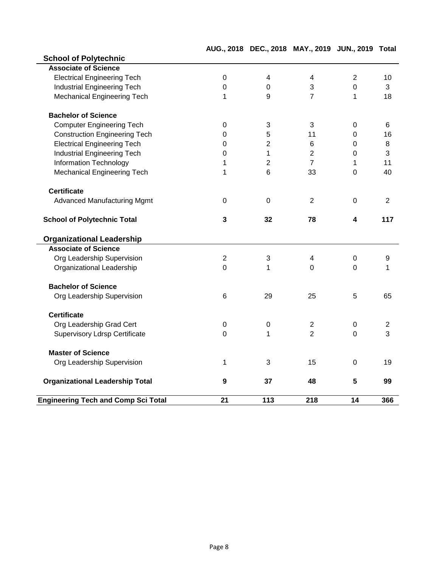| <b>School of Polytechnic</b>               |                  |                |                |                 |                |
|--------------------------------------------|------------------|----------------|----------------|-----------------|----------------|
| <b>Associate of Science</b>                |                  |                |                |                 |                |
| <b>Electrical Engineering Tech</b>         | $\boldsymbol{0}$ | 4              | 4              | $\overline{2}$  | 10             |
| Industrial Engineering Tech                | $\mathbf 0$      | 0              | 3              | $\mathbf 0$     | 3              |
| <b>Mechanical Engineering Tech</b>         | 1                | 9              | $\overline{7}$ | 1               | 18             |
| <b>Bachelor of Science</b>                 |                  |                |                |                 |                |
| <b>Computer Engineering Tech</b>           | 0                | 3              | 3              | $\mathbf 0$     | 6              |
| <b>Construction Engineering Tech</b>       | 0                | 5              | 11             | $\overline{0}$  | 16             |
| <b>Electrical Engineering Tech</b>         | $\overline{0}$   | $\overline{c}$ | 6              | 0               | 8              |
| <b>Industrial Engineering Tech</b>         | $\overline{0}$   | $\mathbf{1}$   | $\overline{2}$ | 0               | 3              |
| Information Technology                     | 1                | $\overline{2}$ | $\overline{7}$ | 1               | 11             |
| <b>Mechanical Engineering Tech</b>         | 1                | 6              | 33             | $\overline{0}$  | 40             |
| <b>Certificate</b>                         |                  |                |                |                 |                |
| <b>Advanced Manufacturing Mgmt</b>         | $\mathbf 0$      | $\mathbf 0$    | $\overline{2}$ | $\Omega$        | $\overline{2}$ |
| <b>School of Polytechnic Total</b>         | 3                | 32             | 78             | 4               | 117            |
| <b>Organizational Leadership</b>           |                  |                |                |                 |                |
| <b>Associate of Science</b>                |                  |                |                |                 |                |
| Org Leadership Supervision                 | $\overline{2}$   | 3              | 4              | $\mathbf 0$     | 9              |
| Organizational Leadership                  | $\mathbf 0$      | 1              | $\Omega$       | $\mathbf 0$     | 1              |
| <b>Bachelor of Science</b>                 |                  |                |                |                 |                |
| Org Leadership Supervision                 | 6                | 29             | 25             | 5               | 65             |
| <b>Certificate</b>                         |                  |                |                |                 |                |
| Org Leadership Grad Cert                   | 0                | $\mathbf 0$    | $\mathbf{2}$   | $\mathbf 0$     | $\overline{c}$ |
| <b>Supervisory Ldrsp Certificate</b>       | 0                | 1              | $\overline{2}$ | $\Omega$        | 3              |
| <b>Master of Science</b>                   |                  |                |                |                 |                |
| Org Leadership Supervision                 | 1                | 3              | 15             | $\mathbf 0$     | 19             |
| <b>Organizational Leadership Total</b>     | 9                | 37             | 48             | $5\phantom{.0}$ | 99             |
| <b>Engineering Tech and Comp Sci Total</b> | 21               | 113            | 218            | 14              | 366            |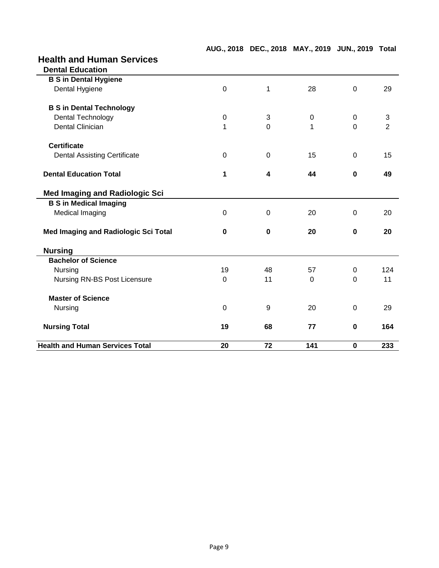|  |  |  | AUG., 2018 DEC., 2018 MAY., 2019 JUN., 2019 Total |  |  |
|--|--|--|---------------------------------------------------|--|--|
|--|--|--|---------------------------------------------------|--|--|

### **Health and Human Services**

| <b>Dental Education</b>                |                |                |             |                |                |
|----------------------------------------|----------------|----------------|-------------|----------------|----------------|
| <b>B S in Dental Hygiene</b>           |                |                |             |                |                |
| Dental Hygiene                         | $\mathbf 0$    | 1              | 28          | $\overline{0}$ | 29             |
| <b>B S in Dental Technology</b>        |                |                |             |                |                |
| Dental Technology                      | $\mathbf 0$    | 3              | $\mathbf 0$ | $\Omega$       | 3              |
| <b>Dental Clinician</b>                | 1              | $\Omega$       | 1           | $\mathbf 0$    | $\overline{2}$ |
| <b>Certificate</b>                     |                |                |             |                |                |
| <b>Dental Assisting Certificate</b>    | $\mathbf 0$    | $\Omega$       | 15          | $\overline{0}$ | 15             |
| <b>Dental Education Total</b>          | 1              | 4              | 44          | $\mathbf 0$    | 49             |
| <b>Med Imaging and Radiologic Sci</b>  |                |                |             |                |                |
| <b>B S in Medical Imaging</b>          |                |                |             |                |                |
| Medical Imaging                        | $\Omega$       | $\overline{0}$ | 20          | 0              | 20             |
| Med Imaging and Radiologic Sci Total   | $\bf{0}$       | $\bf{0}$       | 20          | $\mathbf 0$    | 20             |
| <b>Nursing</b>                         |                |                |             |                |                |
| <b>Bachelor of Science</b>             |                |                |             |                |                |
| Nursing                                | 19             | 48             | 57          | $\Omega$       | 124            |
| Nursing RN-BS Post Licensure           | $\mathbf 0$    | 11             | $\Omega$    | $\mathbf 0$    | 11             |
| <b>Master of Science</b>               |                |                |             |                |                |
| Nursing                                | $\overline{0}$ | 9              | 20          | $\Omega$       | 29             |
| <b>Nursing Total</b>                   | 19             | 68             | 77          | $\mathbf 0$    | 164            |
| <b>Health and Human Services Total</b> | 20             | 72             | 141         | $\bf{0}$       | 233            |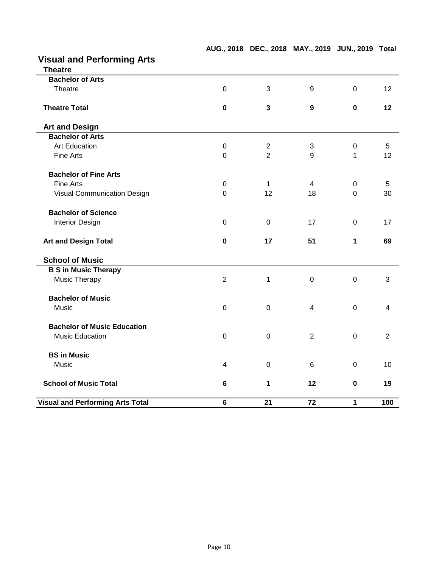| <b>Theatre</b>                     |                  |                |                |                  |                |
|------------------------------------|------------------|----------------|----------------|------------------|----------------|
| <b>Bachelor of Arts</b>            |                  |                |                |                  |                |
| Theatre                            | $\overline{0}$   | 3              | 9              | $\mathbf 0$      | 12             |
| <b>Theatre Total</b>               | $\mathbf 0$      | $\mathbf{3}$   | 9              | $\mathbf 0$      | 12             |
|                                    |                  |                |                |                  |                |
| <b>Art and Design</b>              |                  |                |                |                  |                |
| <b>Bachelor of Arts</b>            |                  |                |                |                  |                |
| <b>Art Education</b>               | $\boldsymbol{0}$ | $\overline{2}$ | $\mathfrak{B}$ | $\boldsymbol{0}$ | 5              |
| Fine Arts                          | $\mathbf 0$      | $\overline{2}$ | 9              | 1                | 12             |
| <b>Bachelor of Fine Arts</b>       |                  |                |                |                  |                |
| <b>Fine Arts</b>                   | $\boldsymbol{0}$ | $\mathbf{1}$   | 4              | 0                | 5              |
| Visual Communication Design        | $\mathbf 0$      | 12             | 18             | 0                | 30             |
| <b>Bachelor of Science</b>         |                  |                |                |                  |                |
| <b>Interior Design</b>             | $\mathbf 0$      | $\mathbf 0$    | 17             | $\mathbf 0$      | 17             |
| <b>Art and Design Total</b>        | $\mathbf 0$      | 17             | 51             | 1                | 69             |
| <b>School of Music</b>             |                  |                |                |                  |                |
| <b>B S in Music Therapy</b>        |                  |                |                |                  |                |
| Music Therapy                      | $\overline{2}$   | 1              | $\mathbf 0$    | $\mathbf 0$      | 3              |
| <b>Bachelor of Music</b>           |                  |                |                |                  |                |
|                                    |                  |                |                |                  |                |
| Music                              | $\mathbf 0$      | $\mathbf 0$    | 4              | $\mathbf 0$      | 4              |
| <b>Bachelor of Music Education</b> |                  |                |                |                  |                |
| <b>Music Education</b>             | $\mathbf 0$      | $\mathbf 0$    | $\overline{2}$ | $\overline{0}$   | $\overline{2}$ |
| <b>BS in Music</b>                 |                  |                |                |                  |                |
| Music                              | $\overline{4}$   | $\mathbf 0$    | 6              | $\overline{0}$   | 10             |
| <b>School of Music Total</b>       | $\bf 6$          | 1              | 12             | $\mathbf 0$      | 19             |

**AUG., 2018 DEC., 2018 MAY., 2019 JUN., 2019 Total**

### **Visual and Performing Arts**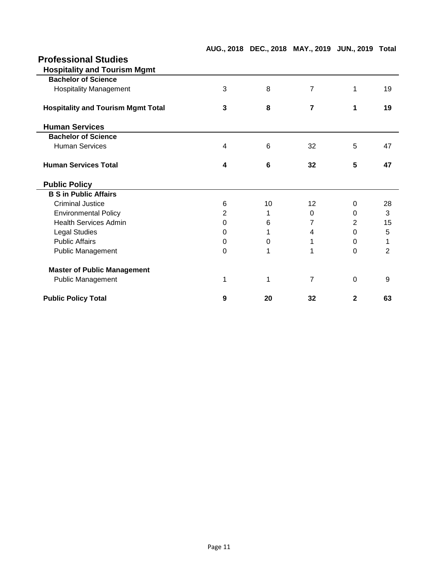| <b>Professional Studies</b>               |                |    |                |                |                |
|-------------------------------------------|----------------|----|----------------|----------------|----------------|
| <b>Hospitality and Tourism Mgmt</b>       |                |    |                |                |                |
| <b>Bachelor of Science</b>                |                |    |                |                |                |
| <b>Hospitality Management</b>             | 3              | 8  | $\overline{7}$ | 1              | 19             |
| <b>Hospitality and Tourism Mgmt Total</b> | 3              | 8  | $\overline{7}$ | 1              | 19             |
| <b>Human Services</b>                     |                |    |                |                |                |
| <b>Bachelor of Science</b>                |                |    |                |                |                |
| <b>Human Services</b>                     | 4              | 6  | 32             | 5              | 47             |
| <b>Human Services Total</b>               | 4              | 6  | 32             | 5              | 47             |
| <b>Public Policy</b>                      |                |    |                |                |                |
| <b>B S in Public Affairs</b>              |                |    |                |                |                |
| <b>Criminal Justice</b>                   | 6              | 10 | 12             | $\Omega$       | 28             |
| <b>Environmental Policy</b>               | $\overline{2}$ | 1  | 0              | $\Omega$       | 3              |
| <b>Health Services Admin</b>              | 0              | 6  | 7              | $\overline{2}$ | 15             |
| <b>Legal Studies</b>                      | 0              | 1  | 4              | 0              | 5              |
| <b>Public Affairs</b>                     | 0              | 0  | 1              | $\Omega$       | 1              |
| <b>Public Management</b>                  | 0              | 1  | 1              | $\Omega$       | $\overline{2}$ |
| <b>Master of Public Management</b>        |                |    |                |                |                |
| <b>Public Management</b>                  | 1              | 1  | $\overline{7}$ | $\mathbf 0$    | 9              |
| <b>Public Policy Total</b>                | 9              | 20 | 32             | $\mathbf{2}$   | 63             |

#### **AUG., 2018 DEC., 2018 MAY., 2019 JUN., 2019 Total**